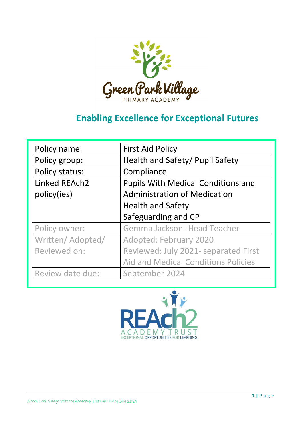

# **Enabling Excellence for Exceptional Futures**

| Policy name:         | <b>First Aid Policy</b>                    |
|----------------------|--------------------------------------------|
| Policy group:        | Health and Safety/ Pupil Safety            |
| Policy status:       | Compliance                                 |
| <b>Linked REAch2</b> | <b>Pupils With Medical Conditions and</b>  |
| policy(ies)          | <b>Administration of Medication</b>        |
|                      | <b>Health and Safety</b>                   |
|                      | Safeguarding and CP                        |
| Policy owner:        | Gemma Jackson- Head Teacher                |
| Written/ Adopted/    | Adopted: February 2020                     |
| Reviewed on:         | Reviewed: July 2021- separated First       |
|                      | <b>Aid and Medical Conditions Policies</b> |
| Review date due:     | September 2024                             |

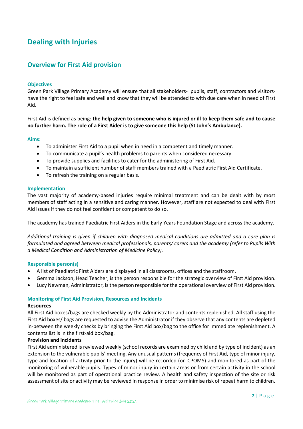# **Dealing with Injuries**

# **Overview for First Aid provision**

# **Objectives**

Green Park Village Primary Academy will ensure that all stakeholders- pupils, staff, contractors and visitorshave the right to feel safe and well and know that they will be attended to with due care when in need of First Aid.

First Aid is defined as being: **the help given to someone who is injured or ill to keep them safe and to cause no further harm. The role of a First Aider is to give someone this help (St John's Ambulance).**

# **Aims:**

- To administer First Aid to a pupil when in need in a competent and timely manner.
- To communicate a pupil's health problems to parents when considered necessary.
- To provide supplies and facilities to cater for the administering of First Aid.
- To maintain a sufficient number of staff members trained with a Paediatric First Aid Certificate.
- To refresh the training on a regular basis.

# **Implementation**

The vast majority of academy-based injuries require minimal treatment and can be dealt with by most members of staff acting in a sensitive and caring manner. However, staff are not expected to deal with First Aid issues if they do not feel confident or competent to do so.

The academy has trained Paediatric First Aiders in the Early Years Foundation Stage and across the academy.

*Additional training is given if children with diagnosed medical conditions are admitted and a care plan is formulated and agreed between medical professionals, parents/ carers and the academy (refer to Pupils With a Medical Condition and Administration of Medicine Policy).*

# **Responsible person(s)**

- A list of Paediatric First Aiders are displayed in all classrooms, offices and the staffroom.
- Gemma Jackson, Head Teacher, is the person responsible for the strategic overview of First Aid provision.
- Lucy Newman, Administrator, is the person responsible for the operational overview of First Aid provision.

# **Monitoring of First Aid Provision, Resources and Incidents**

#### **Resources**

All First Aid boxes/bags are checked weekly by the Administrator and contents replenished. All staff using the First Aid boxes/ bags are requested to advise the Administrator if they observe that any contents are depleted in-between the weekly checks by bringing the First Aid box/bag to the office for immediate replenishment. A contents list is in the first-aid box/bag.

# **Provision and incidents**

First Aid administered is reviewed weekly (school records are examined by child and by type of incident) as an extension to the vulnerable pupils' meeting. Any unusual patterns (frequency of First Aid, type of minor injury, type and location of activity prior to the injury) will be recorded (on CPOMS) and monitored as part of the monitoring of vulnerable pupils. Types of minor injury in certain areas or from certain activity in the school will be monitored as part of operational practice review. A health and safety inspection of the site or risk assessment of site or activity may be reviewed in response in order to minimise risk of repeat harm to children.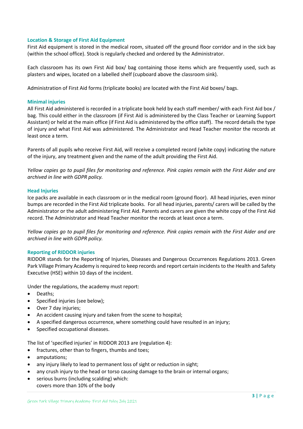# **Location & Storage of First Aid Equipment**

First Aid equipment is stored in the medical room, situated off the ground floor corridor and in the sick bay (within the school office). Stock is regularly checked and ordered by the Administrator.

Each classroom has its own First Aid box/ bag containing those items which are frequently used, such as plasters and wipes, located on a labelled shelf (cupboard above the classroom sink).

Administration of First Aid forms (triplicate books) are located with the First Aid boxes/ bags.

# **Minimal injuries**

All First Aid administered is recorded in a triplicate book held by each staff member/ with each First Aid box / bag. This could either in the classroom (if First Aid is administered by the Class Teacher or Learning Support Assistant) or held at the main office (if First Aid is administered by the office staff). The record details the type of injury and what First Aid was administered. The Administrator and Head Teacher monitor the records at least once a term.

Parents of all pupils who receive First Aid, will receive a completed record (white copy) indicating the nature of the injury, any treatment given and the name of the adult providing the First Aid.

*Yellow copies go to pupil files for monitoring and reference. Pink copies remain with the First Aider and are archived in line with GDPR policy.* 

# **Head Injuries**

Ice packs are available in each classroom or in the medical room (ground floor). All head injuries, even minor bumps are recorded in the First Aid triplicate books. For all head injuries, parents/ carers will be called by the Administrator or the adult administering First Aid. Parents and carers are given the white copy of the First Aid record. The Administrator and Head Teacher monitor the records at least once a term.

*Yellow copies go to pupil files for monitoring and reference. Pink copies remain with the First Aider and are archived in line with GDPR policy.* 

# **Reporting of RIDDOR injuries**

RIDDOR stands for the Reporting of Injuries, Diseases and Dangerous Occurrences Regulations 2013. Green Park Village Primary Academy is required to keep records and report certain incidents to the Health and Safety Executive (HSE) within 10 days of the incident.

Under the regulations, the academy must report:

- Deaths;
- Specified injuries (see below);
- Over 7 day injuries;
- An accident causing injury and taken from the scene to hospital;
- A specified dangerous occurrence, where something could have resulted in an injury;
- Specified occupational diseases.

The list of 'specified injuries' in RIDDOR 2013 are (regulation 4):

- fractures, other than to fingers, thumbs and toes;
- amputations;
- any injury likely to lead to permanent loss of sight or reduction in sight;
- any crush injury to the head or torso causing damage to the brain or internal organs;
- serious burns (including scalding) which: covers more than 10% of the body